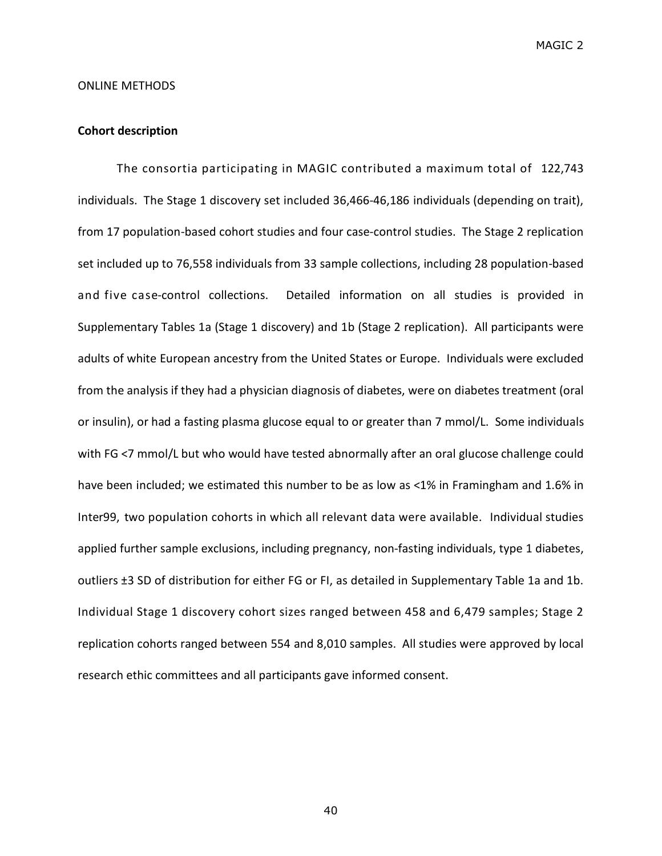#### ONLINE METHODS

# **Cohort description**

The consortia participating in MAGIC contributed a maximum total of 122,743 individuals. The Stage 1 discovery set included 36,466-46,186 individuals (depending on trait), from 17 population-based cohort studies and four case-control studies. The Stage 2 replication set included up to 76,558 individuals from 33 sample collections, including 28 population-based and five case-control collections. Detailed information on all studies is provided in Supplementary Tables 1a (Stage 1 discovery) and 1b (Stage 2 replication). All participants were adults of white European ancestry from the United States or Europe. Individuals were excluded from the analysis if they had a physician diagnosis of diabetes, were on diabetes treatment (oral or insulin), or had a fasting plasma glucose equal to or greater than 7 mmol/L. Some individuals with FG <7 mmol/L but who would have tested abnormally after an oral glucose challenge could have been included; we estimated this number to be as low as <1% in Framingham and 1.6% in Inter99, two population cohorts in which all relevant data were available. Individual studies applied further sample exclusions, including pregnancy, non-fasting individuals, type 1 diabetes, outliers ±3 SD of distribution for either FG or FI, as detailed in Supplementary Table 1a and 1b. Individual Stage 1 discovery cohort sizes ranged between 458 and 6,479 samples; Stage 2 replication cohorts ranged between 554 and 8,010 samples. All studies were approved by local research ethic committees and all participants gave informed consent.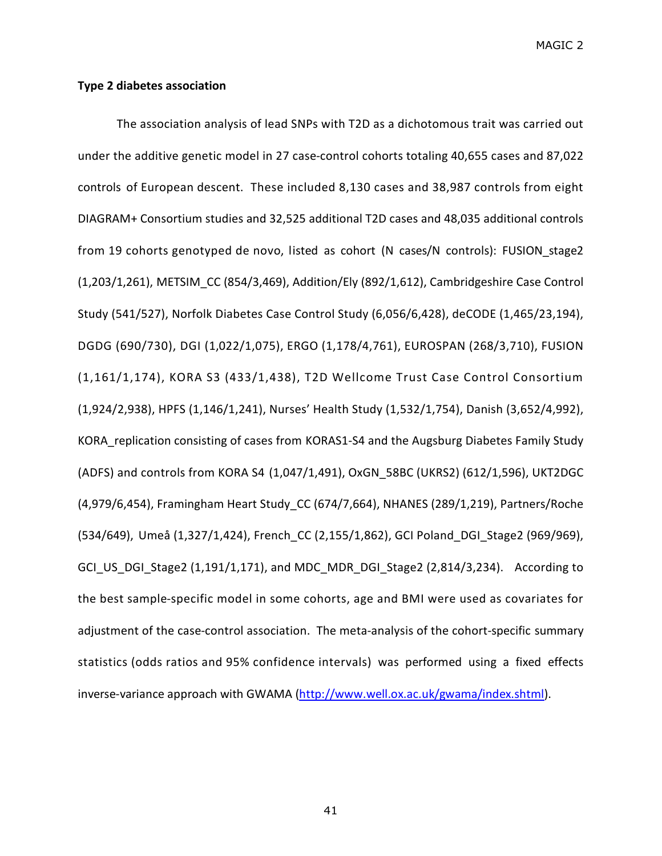## **Type 2 diabetes association**

The association analysis of lead SNPs with T2D as a dichotomous trait was carried out under the additive genetic model in 27 case-control cohorts totaling 40,655 cases and 87,022 controls of European descent. These included 8,130 cases and 38,987 controls from eight DIAGRAM+ Consortium studies and 32,525 additional T2D cases and 48,035 additional controls from 19 cohorts genotyped de novo, listed as cohort (N cases/N controls): FUSION\_stage2 (1,203/1,261), METSIM\_CC (854/3,469), Addition/Ely (892/1,612), Cambridgeshire Case Control Study (541/527), Norfolk Diabetes Case Control Study (6,056/6,428), deCODE (1,465/23,194), DGDG (690/730), DGI (1,022/1,075), ERGO (1,178/4,761), EUROSPAN (268/3,710), FUSION (1,161/1,174), KORA S3 (433/1,438), T2D Wellcome Trust Case Control Consortium (1,924/2,938), HPFS (1,146/1,241), Nurses' Health Study (1,532/1,754), Danish (3,652/4,992), KORA\_replication consisting of cases from KORAS1-S4 and the Augsburg Diabetes Family Study (ADFS) and controls from KORA S4 (1,047/1,491), OxGN\_58BC (UKRS2) (612/1,596), UKT2DGC (4,979/6,454), Framingham Heart Study\_CC (674/7,664), NHANES (289/1,219), Partners/Roche (534/649), Umeå (1,327/1,424), French\_CC (2,155/1,862), GCI Poland\_DGI\_Stage2 (969/969), GCI US DGI Stage2 (1,191/1,171), and MDC MDR DGI Stage2 (2,814/3,234). According to the best sample-specific model in some cohorts, age and BMI were used as covariates for adjustment of the case-control association. The meta-analysis of the cohort-specific summary statistics (odds ratios and 95% confidence intervals) was performed using a fixed effects inverse-variance approach with GWAMA (http://www.well.ox.ac.uk/gwama/index.shtml).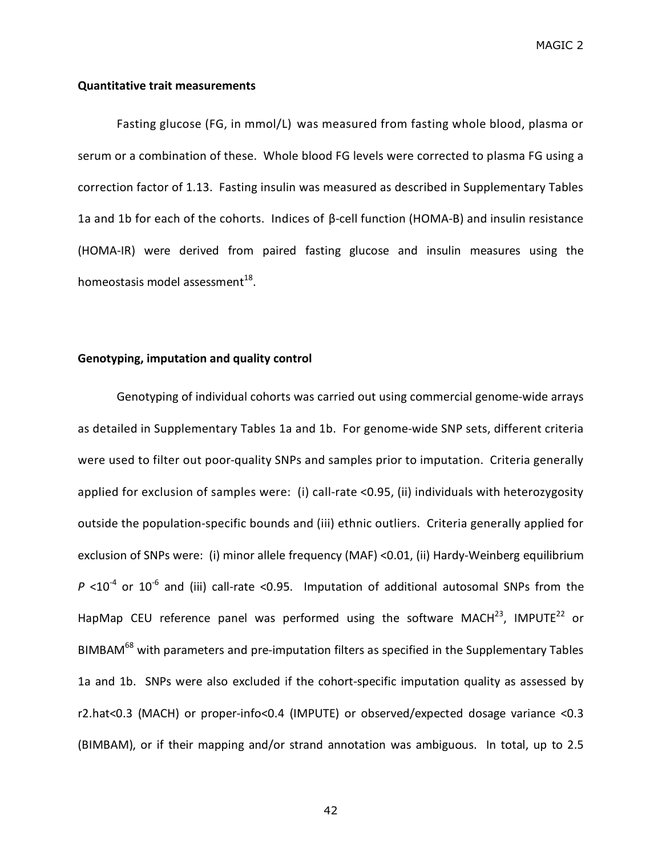### **Quantitative trait measurements**

Fasting glucose (FG, in mmol/L) was measured from fasting whole blood, plasma or serum or a combination of these. Whole blood FG levels were corrected to plasma FG using a correction factor of 1.13. Fasting insulin was measured as described in Supplementary Tables 1a and 1b for each of the cohorts. Indices of β-cell function (HOMA-B) and insulin resistance (HOMA-IR) were derived from paired fasting glucose and insulin measures using the homeostasis model assessment $^{18}$ .

## **Genotyping, imputation and quality control**

Genotyping of individual cohorts was carried out using commercial genome-wide arrays as detailed in Supplementary Tables 1a and 1b. For genome-wide SNP sets, different criteria were used to filter out poor-quality SNPs and samples prior to imputation. Criteria generally applied for exclusion of samples were: (i) call-rate <0.95, (ii) individuals with heterozygosity outside the population-specific bounds and (iii) ethnic outliers. Criteria generally applied for exclusion of SNPs were: (i) minor allele frequency (MAF) <0.01, (ii) Hardy-Weinberg equilibrium  $P$  <10<sup>-4</sup> or 10<sup>-6</sup> and (iii) call-rate <0.95. Imputation of additional autosomal SNPs from the HapMap CEU reference panel was performed using the software MACH<sup>23</sup>, IMPUTE<sup>22</sup> or BIMBAM<sup>68</sup> with parameters and pre-imputation filters as specified in the Supplementary Tables 1a and 1b. SNPs were also excluded if the cohort-specific imputation quality as assessed by r2.hat<0.3 (MACH) or proper-info<0.4 (IMPUTE) or observed/expected dosage variance <0.3 (BIMBAM), or if their mapping and/or strand annotation was ambiguous. In total, up to 2.5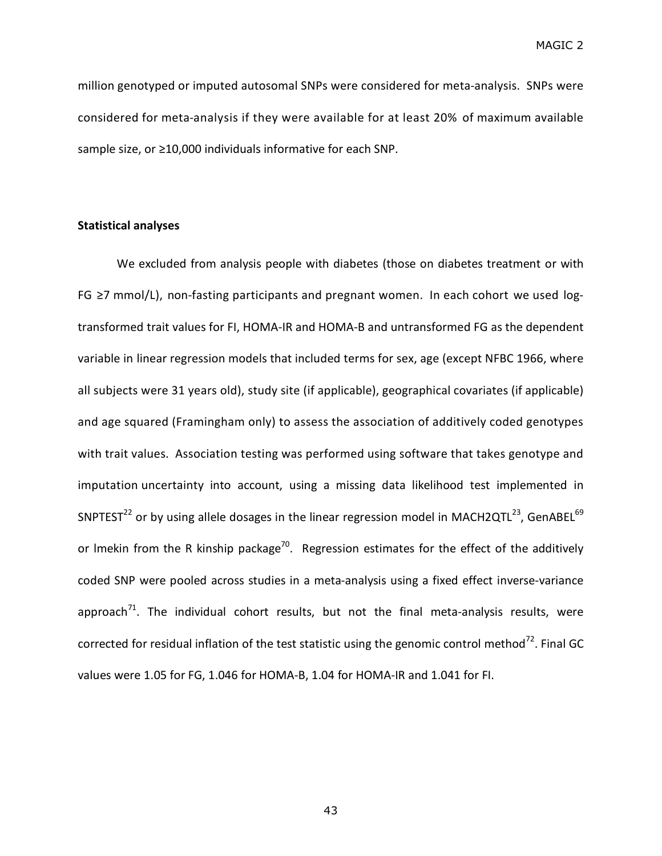million genotyped or imputed autosomal SNPs were considered for meta-analysis. SNPs were considered for meta-analysis if they were available for at least 20% of maximum available sample size, or ≥10,000 individuals informative for each SNP.

# **Statistical analyses**

We excluded from analysis people with diabetes (those on diabetes treatment or with FG ≥7 mmol/L), non-fasting participants and pregnant women. In each cohort we used logtransformed trait values for FI, HOMA-IR and HOMA-B and untransformed FG as the dependent variable in linear regression models that included terms for sex, age (except NFBC 1966, where all subjects were 31 years old), study site (if applicable), geographical covariates (if applicable) and age squared (Framingham only) to assess the association of additively coded genotypes with trait values. Association testing was performed using software that takes genotype and imputation uncertainty into account, using a missing data likelihood test implemented in SNPTEST<sup>22</sup> or by using allele dosages in the linear regression model in MACH2QTL<sup>23</sup>, GenABEL<sup>69</sup> or Imekin from the R kinship package<sup>70</sup>. Regression estimates for the effect of the additively coded SNP were pooled across studies in a meta-analysis using a fixed effect inverse-variance approach<sup>71</sup>. The individual cohort results, but not the final meta-analysis results, were corrected for residual inflation of the test statistic using the genomic control method<sup>72</sup>. Final GC values were 1.05 for FG, 1.046 for HOMA-B, 1.04 for HOMA-IR and 1.041 for FI.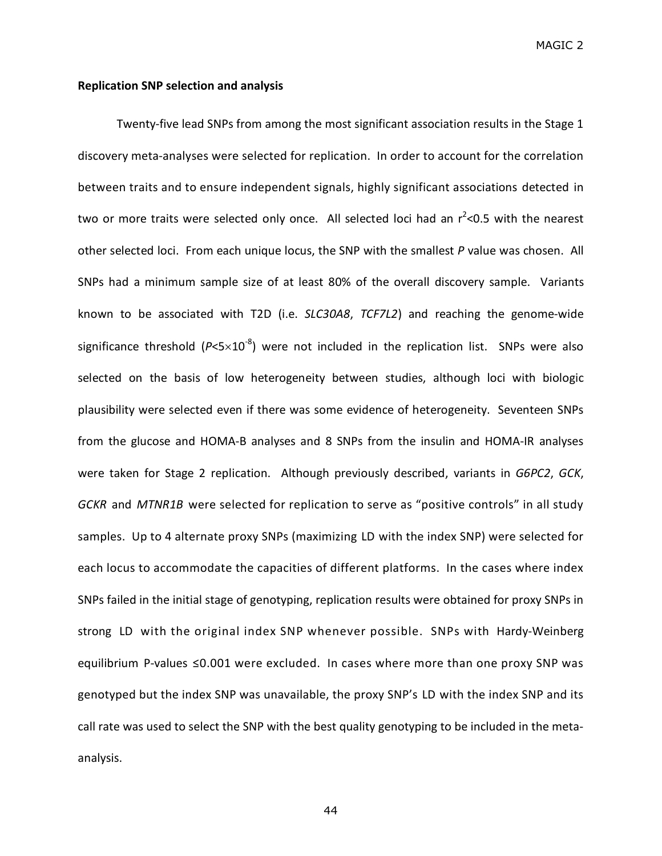## **Replication SNP selection and analysis**

Twenty-five lead SNPs from among the most significant association results in the Stage 1 discovery meta-analyses were selected for replication. In order to account for the correlation between traits and to ensure independent signals, highly significant associations detected in two or more traits were selected only once. All selected loci had an r<sup>2</sup><0.5 with the nearest other selected loci. From each unique locus, the SNP with the smallest *P* value was chosen. All SNPs had a minimum sample size of at least 80% of the overall discovery sample. Variants known to be associated with T2D (i.e. *SLC30A8*, *TCF7L2*) and reaching the genome-wide significance threshold  $(P<5\times10^{-8})$  were not included in the replication list. SNPs were also selected on the basis of low heterogeneity between studies, although loci with biologic plausibility were selected even if there was some evidence of heterogeneity. Seventeen SNPs from the glucose and HOMA-B analyses and 8 SNPs from the insulin and HOMA-IR analyses were taken for Stage 2 replication. Although previously described, variants in *G6PC2*, *GCK*, *GCKR* and *MTNR1B* were selected for replication to serve as "positive controls" in all study samples. Up to 4 alternate proxy SNPs (maximizing LD with the index SNP) were selected for each locus to accommodate the capacities of different platforms. In the cases where index SNPs failed in the initial stage of genotyping, replication results were obtained for proxy SNPs in strong LD with the original index SNP whenever possible. SNPs with Hardy-Weinberg equilibrium P-values ≤0.001 were excluded. In cases where more than one proxy SNP was genotyped but the index SNP was unavailable, the proxy SNP's LD with the index SNP and its call rate was used to select the SNP with the best quality genotyping to be included in the metaanalysis.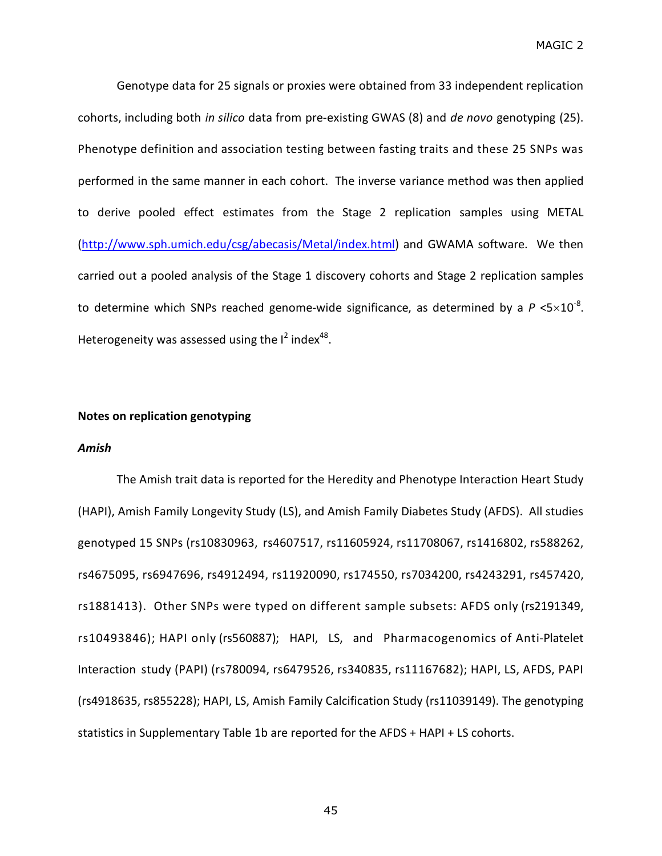Genotype data for 25 signals or proxies were obtained from 33 independent replication cohorts, including both *in silico* data from pre-existing GWAS (8) and *de novo* genotyping (25). Phenotype definition and association testing between fasting traits and these 25 SNPs was performed in the same manner in each cohort. The inverse variance method was then applied to derive pooled effect estimates from the Stage 2 replication samples using METAL (http://www.sph.umich.edu/csg/abecasis/Metal/index.html) and GWAMA software. We then carried out a pooled analysis of the Stage 1 discovery cohorts and Stage 2 replication samples to determine which SNPs reached genome-wide significance, as determined by a  $P$  <5 $\times10^{-8}$ . Heterogeneity was assessed using the  $I^2$  index<sup>48</sup>.

# **Notes on replication genotyping**

#### *Amish*

The Amish trait data is reported for the Heredity and Phenotype Interaction Heart Study (HAPI), Amish Family Longevity Study (LS), and Amish Family Diabetes Study (AFDS). All studies genotyped 15 SNPs (rs10830963, rs4607517, rs11605924, rs11708067, rs1416802, rs588262, rs4675095, rs6947696, rs4912494, rs11920090, rs174550, rs7034200, rs4243291, rs457420, rs1881413). Other SNPs were typed on different sample subsets: AFDS only (rs2191349, rs10493846); HAPI only (rs560887); HAPI, LS, and Pharmacogenomics of Anti-Platelet Interaction study (PAPI) (rs780094, rs6479526, rs340835, rs11167682); HAPI, LS, AFDS, PAPI (rs4918635, rs855228); HAPI, LS, Amish Family Calcification Study (rs11039149). The genotyping statistics in Supplementary Table 1b are reported for the AFDS + HAPI + LS cohorts.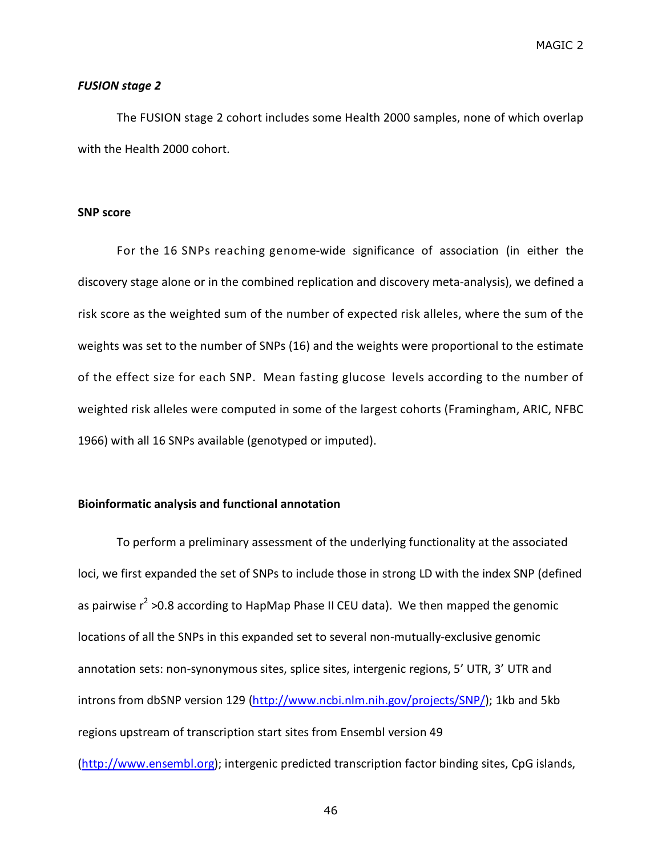#### *FUSION stage 2*

The FUSION stage 2 cohort includes some Health 2000 samples, none of which overlap with the Health 2000 cohort.

#### **SNP score**

For the 16 SNPs reaching genome-wide significance of association (in either the discovery stage alone or in the combined replication and discovery meta-analysis), we defined a risk score as the weighted sum of the number of expected risk alleles, where the sum of the weights was set to the number of SNPs (16) and the weights were proportional to the estimate of the effect size for each SNP. Mean fasting glucose levels according to the number of weighted risk alleles were computed in some of the largest cohorts (Framingham, ARIC, NFBC 1966) with all 16 SNPs available (genotyped or imputed).

## **Bioinformatic analysis and functional annotation**

To perform a preliminary assessment of the underlying functionality at the associated loci, we first expanded the set of SNPs to include those in strong LD with the index SNP (defined as pairwise  $r^2$  >0.8 according to HapMap Phase II CEU data). We then mapped the genomic locations of all the SNPs in this expanded set to several non-mutually-exclusive genomic annotation sets: non-synonymous sites, splice sites, intergenic regions, 5' UTR, 3' UTR and introns from dbSNP version 129 (http://www.ncbi.nlm.nih.gov/projects/SNP/); 1kb and 5kb regions upstream of transcription start sites from Ensembl version 49 (http://www.ensembl.org); intergenic predicted transcription factor binding sites, CpG islands,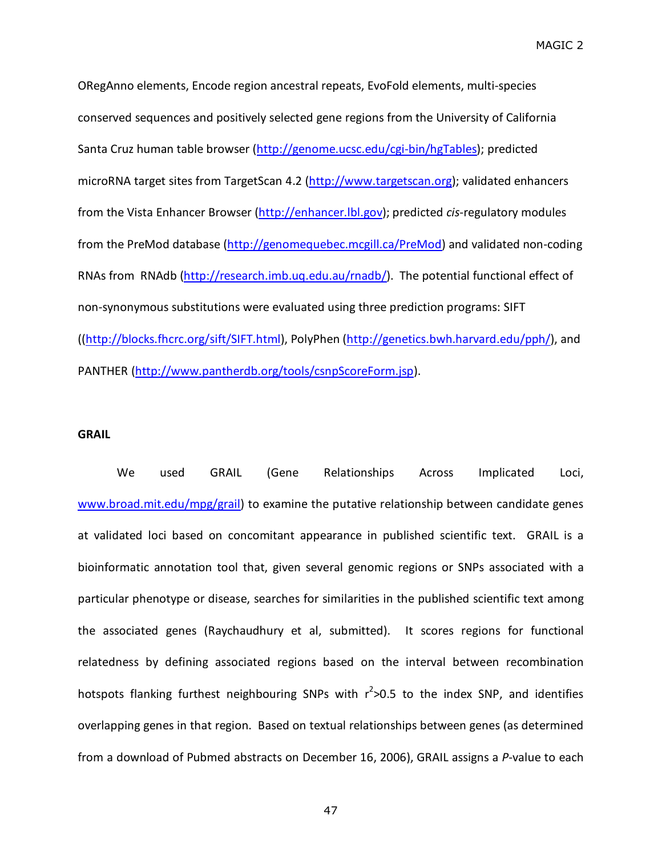ORegAnno elements, Encode region ancestral repeats, EvoFold elements, multi-species conserved sequences and positively selected gene regions from the University of California Santa Cruz human table browser (http://genome.ucsc.edu/cgi-bin/hgTables); predicted microRNA target sites from TargetScan 4.2 (http://www.targetscan.org); validated enhancers from the Vista Enhancer Browser (http://enhancer.lbl.gov); predicted *cis*-regulatory modules from the PreMod database (http://genomequebec.mcgill.ca/PreMod) and validated non-coding RNAs from RNAdb (http://research.imb.uq.edu.au/rnadb/). The potential functional effect of non-synonymous substitutions were evaluated using three prediction programs: SIFT ((http://blocks.fhcrc.org/sift/SIFT.html), PolyPhen (http://genetics.bwh.harvard.edu/pph/), and PANTHER (http://www.pantherdb.org/tools/csnpScoreForm.jsp).

### **GRAIL**

We used GRAIL (Gene Relationships Across Implicated Loci, www.broad.mit.edu/mpg/grail) to examine the putative relationship between candidate genes at validated loci based on concomitant appearance in published scientific text. GRAIL is a bioinformatic annotation tool that, given several genomic regions or SNPs associated with a particular phenotype or disease, searches for similarities in the published scientific text among the associated genes (Raychaudhury et al, submitted). It scores regions for functional relatedness by defining associated regions based on the interval between recombination hotspots flanking furthest neighbouring SNPs with r<sup>2</sup>>0.5 to the index SNP, and identifies overlapping genes in that region. Based on textual relationships between genes (as determined from a download of Pubmed abstracts on December 16, 2006), GRAIL assigns a *P*-value to each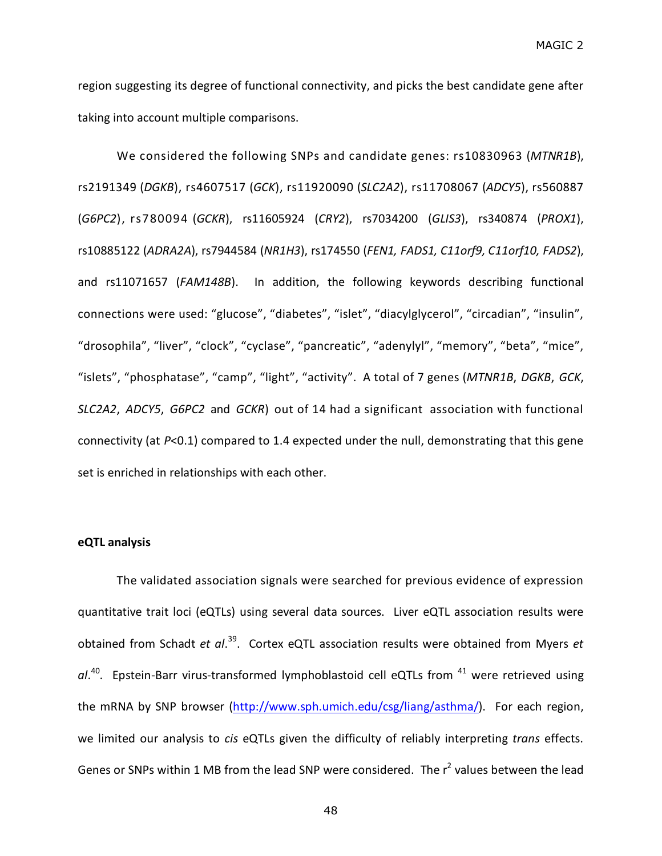region suggesting its degree of functional connectivity, and picks the best candidate gene after taking into account multiple comparisons.

We considered the following SNPs and candidate genes: rs10830963 (*MTNR1B*), rs2191349 (*DGKB*), rs4607517 (*GCK*), rs11920090 (*SLC2A2*), rs11708067 (*ADCY5*), rs560887 (*G6PC2*), rs780094 (*GCKR*), rs11605924 (*CRY2*), rs7034200 (*GLIS3*), rs340874 (*PROX1*), rs10885122 (*ADRA2A*), rs7944584 (*NR1H3*), rs174550 (*FEN1, FADS1, C11orf9, C11orf10, FADS2*), and rs11071657 (*FAM148B*). In addition, the following keywords describing functional connections were used: "glucose", "diabetes", "islet", "diacylglycerol", "circadian", "insulin", "drosophila", "liver", "clock", "cyclase", "pancreatic", "adenylyl", "memory", "beta", "mice", "islets", "phosphatase", "camp", "light", "activity". A total of 7 genes (*MTNR1B*, *DGKB*, *GCK*, *SLC2A2*, *ADCY5*, *G6PC2* and *GCKR*) out of 14 had a significant association with functional connectivity (at *P*<0.1) compared to 1.4 expected under the null, demonstrating that this gene set is enriched in relationships with each other.

## **eQTL analysis**

The validated association signals were searched for previous evidence of expression quantitative trait loci (eQTLs) using several data sources. Liver eQTL association results were obtained from Schadt *et al*. 39 . Cortex eQTL association results were obtained from Myers *et* al.<sup>40</sup>. Epstein-Barr virus-transformed lymphoblastoid cell eQTLs from <sup>41</sup> were retrieved using the mRNA by SNP browser (http://www.sph.umich.edu/csg/liang/asthma/). For each region, we limited our analysis to *cis* eQTLs given the difficulty of reliably interpreting *trans* effects. Genes or SNPs within 1 MB from the lead SNP were considered. The r<sup>2</sup> values between the lead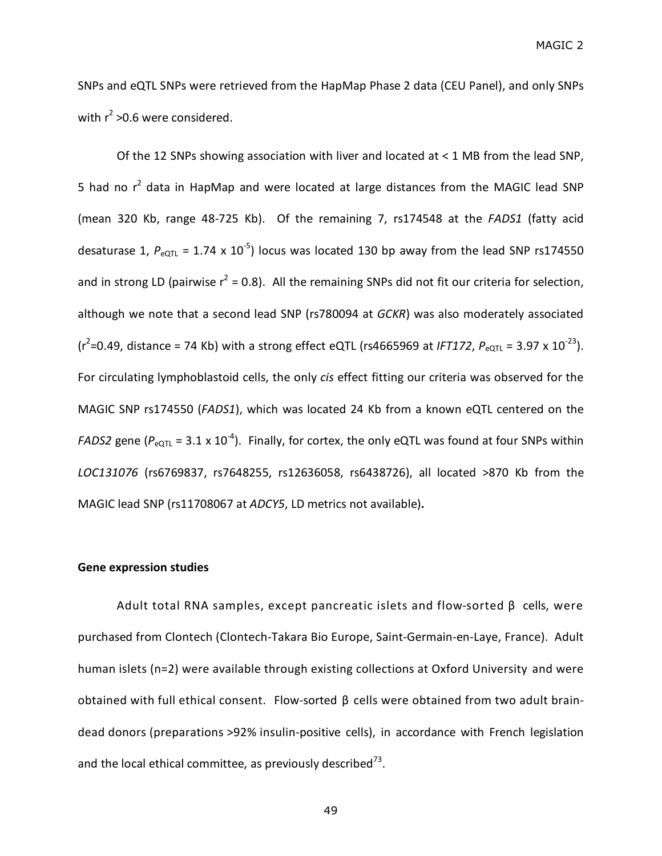SNPs and eQTL SNPs were retrieved from the HapMap Phase 2 data (CEU Panel), and only SNPs with  $r^2$  >0.6 were considered.

Of the 12 SNPs showing association with liver and located at < 1 MB from the lead SNP, 5 had no  $r^2$  data in HapMap and were located at large distances from the MAGIC lead SNP (mean 320 Kb, range 48-725 Kb). Of the remaining 7, rs174548 at the *FADS1* (fatty acid desaturase 1,  $P_{\text{eQTL}}$  = 1.74 x 10<sup>-5</sup>) locus was located 130 bp away from the lead SNP rs174550 and in strong LD (pairwise  $r^2$  = 0.8). All the remaining SNPs did not fit our criteria for selection, although we note that a second lead SNP (rs780094 at *GCKR*) was also moderately associated  $(r^2=0.49,$  distance = 74 Kb) with a strong effect eQTL (rs4665969 at *IFT172, P*<sub>eQTL</sub> = 3.97 x 10<sup>-23</sup>). For circulating lymphoblastoid cells, the only *cis* effect fitting our criteria was observed for the MAGIC SNP rs174550 (*FADS1*), which was located 24 Kb from a known eQTL centered on the *FADS2* gene ( $P_{eQTL}$  = 3.1 x 10<sup>-4</sup>). Finally, for cortex, the only eQTL was found at four SNPs within *LOC131076* (rs6769837, rs7648255, rs12636058, rs6438726), all located >870 Kb from the MAGIC lead SNP (rs11708067 at *ADCY5*, LD metrics not available)**.**

### **Gene expression studies**

Adult total RNA samples, except pancreatic islets and flow-sorted β cells, were purchased from Clontech (Clontech-Takara Bio Europe, Saint-Germain-en-Laye, France). Adult human islets (n=2) were available through existing collections at Oxford University and were obtained with full ethical consent. Flow-sorted β cells were obtained from two adult braindead donors (preparations >92% insulin-positive cells), in accordance with French legislation and the local ethical committee, as previously described<sup>73</sup>.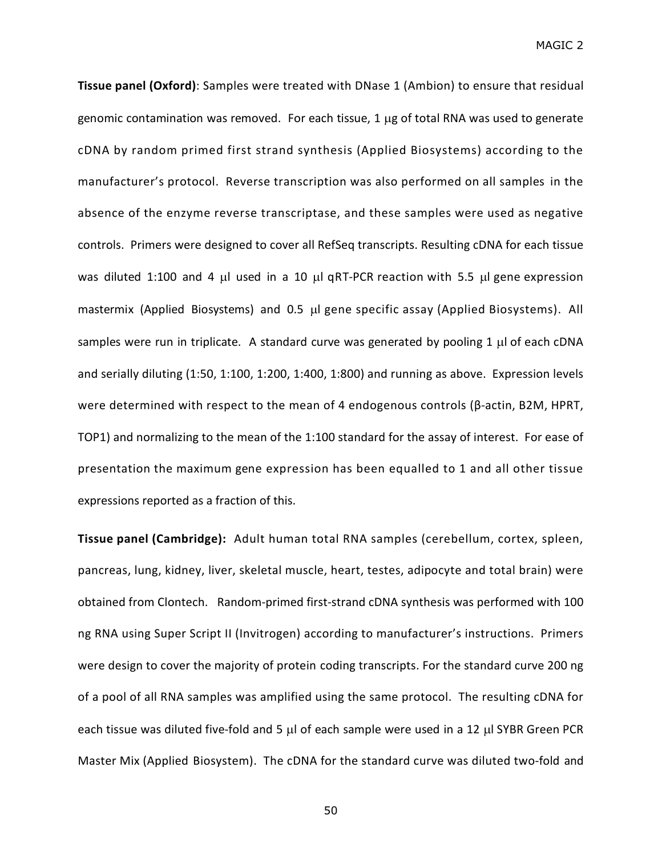**Tissue panel (Oxford)**: Samples were treated with DNase 1 (Ambion) to ensure that residual genomic contamination was removed. For each tissue,  $1 \mu$ g of total RNA was used to generate cDNA by random primed first strand synthesis (Applied Biosystems) according to the manufacturer's protocol. Reverse transcription was also performed on all samples in the absence of the enzyme reverse transcriptase, and these samples were used as negative controls. Primers were designed to cover all RefSeq transcripts. Resulting cDNA for each tissue was diluted 1:100 and 4  $\mu$ l used in a 10  $\mu$ l qRT-PCR reaction with 5.5  $\mu$ l gene expression mastermix (Applied Biosystems) and 0.5 µl gene specific assay (Applied Biosystems). All samples were run in triplicate. A standard curve was generated by pooling 1  $\mu$  of each cDNA and serially diluting (1:50, 1:100, 1:200, 1:400, 1:800) and running as above. Expression levels were determined with respect to the mean of 4 endogenous controls (β-actin, B2M, HPRT, TOP1) and normalizing to the mean of the 1:100 standard for the assay of interest. For ease of presentation the maximum gene expression has been equalled to 1 and all other tissue expressions reported as a fraction of this.

**Tissue panel (Cambridge):** Adult human total RNA samples (cerebellum, cortex, spleen, pancreas, lung, kidney, liver, skeletal muscle, heart, testes, adipocyte and total brain) were obtained from Clontech. Random-primed first-strand cDNA synthesis was performed with 100 ng RNA using Super Script II (Invitrogen) according to manufacturer's instructions. Primers were design to cover the majority of protein coding transcripts. For the standard curve 200 ng of a pool of all RNA samples was amplified using the same protocol. The resulting cDNA for each tissue was diluted five-fold and 5  $\mu$ l of each sample were used in a 12  $\mu$ l SYBR Green PCR Master Mix (Applied Biosystem). The cDNA for the standard curve was diluted two-fold and